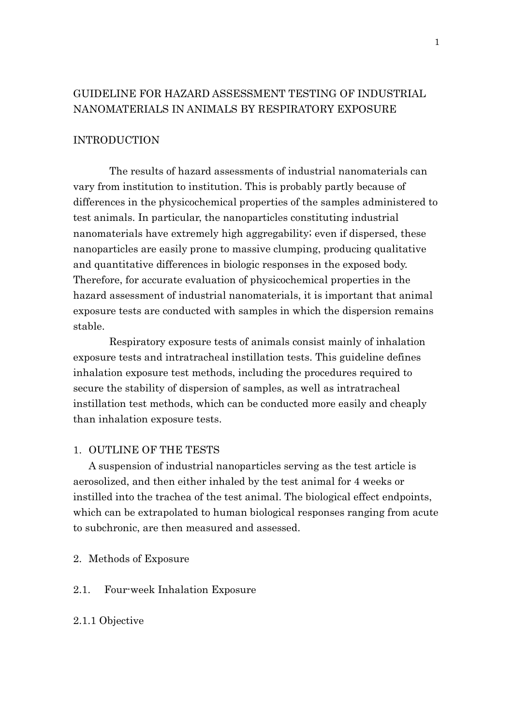# GUIDELINE FOR HAZARD ASSESSMENT TESTING OF INDUSTRIAL NANOMATERIALS IN ANIMALS BY RESPIRATORY EXPOSURE

# INTRODUCTION

The results of hazard assessments of industrial nanomaterials can vary from institution to institution. This is probably partly because of differences in the physicochemical properties of the samples administered to test animals. In particular, the nanoparticles constituting industrial nanomaterials have extremely high aggregability; even if dispersed, these nanoparticles are easily prone to massive clumping, producing qualitative and quantitative differences in biologic responses in the exposed body. Therefore, for accurate evaluation of physicochemical properties in the hazard assessment of industrial nanomaterials, it is important that animal exposure tests are conducted with samples in which the dispersion remains stable.

Respiratory exposure tests of animals consist mainly of inhalation exposure tests and intratracheal instillation tests. This guideline defines inhalation exposure test methods, including the procedures required to secure the stability of dispersion of samples, as well as intratracheal instillation test methods, which can be conducted more easily and cheaply than inhalation exposure tests.

#### 1. OUTLINE OF THE TESTS

A suspension of industrial nanoparticles serving as the test article is aerosolized, and then either inhaled by the test animal for 4 weeks or instilled into the trachea of the test animal. The biological effect endpoints, which can be extrapolated to human biological responses ranging from acute to subchronic, are then measured and assessed.

- 2. Methods of Exposure
- 2.1. Four-week Inhalation Exposure

#### 2.1.1 Objective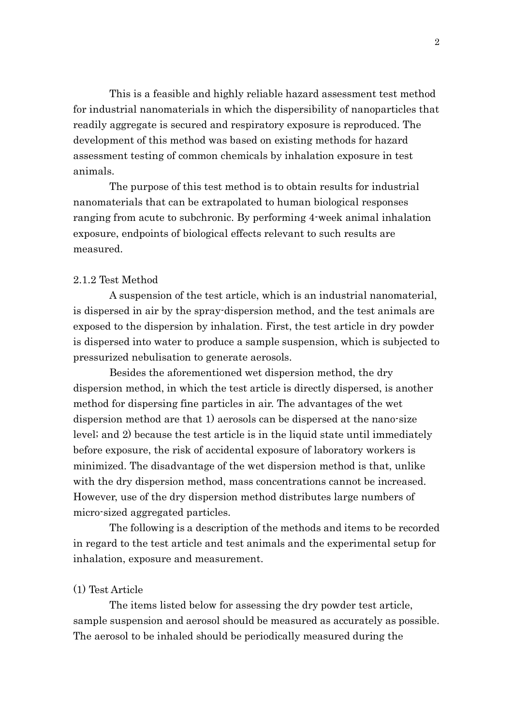This is a feasible and highly reliable hazard assessment test method for industrial nanomaterials in which the dispersibility of nanoparticles that readily aggregate is secured and respiratory exposure is reproduced. The development of this method was based on existing methods for hazard assessment testing of common chemicals by inhalation exposure in test animals.

The purpose of this test method is to obtain results for industrial nanomaterials that can be extrapolated to human biological responses ranging from acute to subchronic. By performing 4-week animal inhalation exposure, endpoints of biological effects relevant to such results are measured.

## 2.1.2 Test Method

A suspension of the test article, which is an industrial nanomaterial, is dispersed in air by the spray-dispersion method, and the test animals are exposed to the dispersion by inhalation. First, the test article in dry powder is dispersed into water to produce a sample suspension, which is subjected to pressurized nebulisation to generate aerosols.

Besides the aforementioned wet dispersion method, the dry dispersion method, in which the test article is directly dispersed, is another method for dispersing fine particles in air. The advantages of the wet dispersion method are that 1) aerosols can be dispersed at the nano-size level; and 2) because the test article is in the liquid state until immediately before exposure, the risk of accidental exposure of laboratory workers is minimized. The disadvantage of the wet dispersion method is that, unlike with the dry dispersion method, mass concentrations cannot be increased. However, use of the dry dispersion method distributes large numbers of micro-sized aggregated particles.

The following is a description of the methods and items to be recorded in regard to the test article and test animals and the experimental setup for inhalation, exposure and measurement.

### (1) Test Article

The items listed below for assessing the dry powder test article, sample suspension and aerosol should be measured as accurately as possible. The aerosol to be inhaled should be periodically measured during the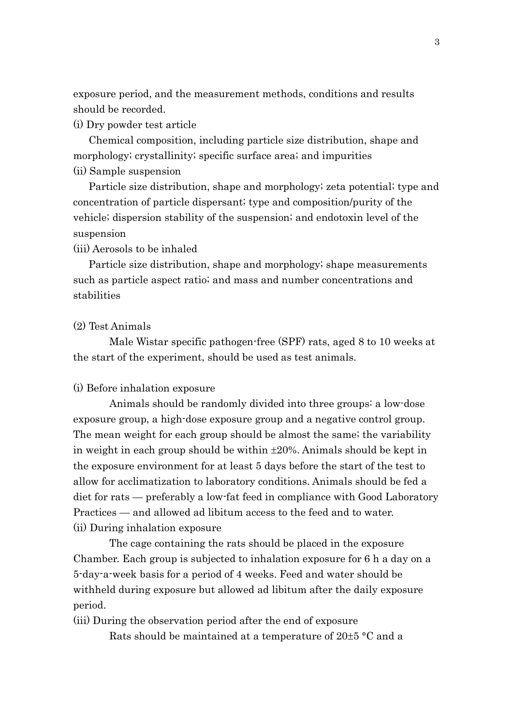exposure period, and the measurement methods, conditions and results should be recorded.

(i) Dry powder test article

Chemical composition, including particle size distribution, shape and morphology; crystallinity; specific surface area; and impurities (ii) Sample suspension

Particle size distribution, shape and morphology; zeta potential; type and concentration of particle dispersant; type and composition/purity of the vehicle; dispersion stability of the suspension; and endotoxin level of the suspension

(iii) Aerosols to be inhaled

Particle size distribution, shape and morphology; shape measurements such as particle aspect ratio; and mass and number concentrations and stabilities

#### (2) Test Animals

Male Wistar specific pathogen-free (SPF) rats, aged 8 to 10 weeks at the start of the experiment, should be used as test animals.

(i) Before inhalation exposure

Animals should be randomly divided into three groups: a low-dose exposure group, a high-dose exposure group and a negative control group. The mean weight for each group should be almost the same; the variability in weight in each group should be within ±20%. Animals should be kept in the exposure environment for at least 5 days before the start of the test to allow for acclimatization to laboratory conditions. Animals should be fed a diet for rats — preferably a low-fat feed in compliance with Good Laboratory Practices — and allowed ad libitum access to the feed and to water. (ii) During inhalation exposure

The cage containing the rats should be placed in the exposure Chamber. Each group is subjected to inhalation exposure for 6 h a day on a 5-day-a-week basis for a period of 4 weeks. Feed and water should be withheld during exposure but allowed ad libitum after the daily exposure period.

(iii) During the observation period after the end of exposure

Rats should be maintained at a temperature of 20±5 °C and a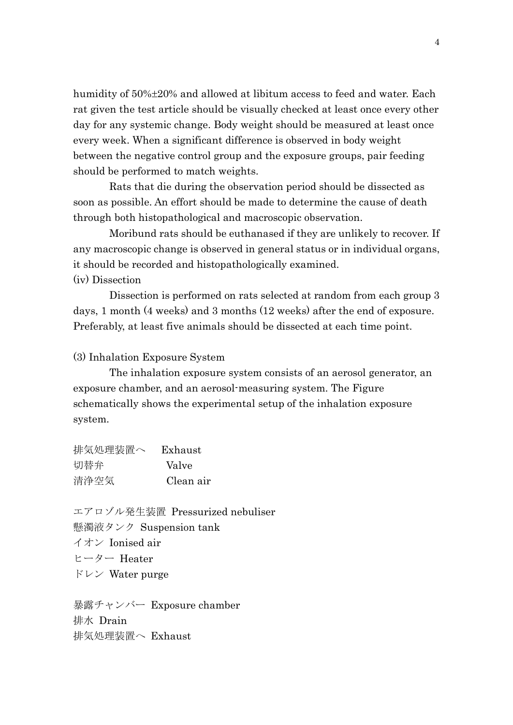humidity of 50%±20% and allowed at libitum access to feed and water. Each rat given the test article should be visually checked at least once every other day for any systemic change. Body weight should be measured at least once every week. When a significant difference is observed in body weight between the negative control group and the exposure groups, pair feeding should be performed to match weights.

Rats that die during the observation period should be dissected as soon as possible. An effort should be made to determine the cause of death through both histopathological and macroscopic observation.

Moribund rats should be euthanased if they are unlikely to recover. If any macroscopic change is observed in general status or in individual organs, it should be recorded and histopathologically examined. (iv) Dissection

Dissection is performed on rats selected at random from each group 3 days, 1 month (4 weeks) and 3 months (12 weeks) after the end of exposure. Preferably, at least five animals should be dissected at each time point.

(3) Inhalation Exposure System

The inhalation exposure system consists of an aerosol generator, an exposure chamber, and an aerosol-measuring system. The Figure schematically shows the experimental setup of the inhalation exposure system.

| 排気処理装置へ | Exhaust   |
|---------|-----------|
| 切替弁     | Valve     |
| 清浄空気    | Clean air |

エアロゾル発生装置 Pressurized nebuliser 懸濁液タンク Suspension tank イオン Ionised air ヒーター Heater ドレン Water purge

暴露チャンバー Exposure chamber 排水 Drain 排気処理装置へ Exhaust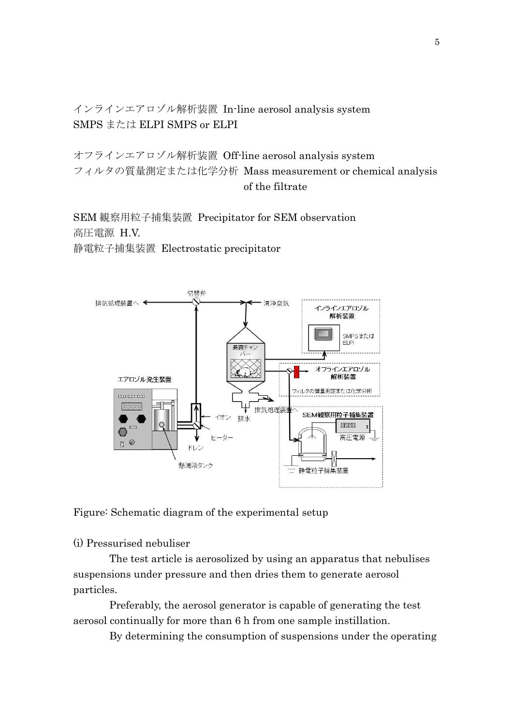インラインエアロゾル解析装置 In-line aerosol analysis system SMPS または ELPI SMPS or ELPI

オフラインエアロゾル解析装置 Off-line aerosol analysis system フィルタの質量測定または化学分析 Mass measurement or chemical analysis of the filtrate

SEM 観察用粒子捕集装置 Precipitator for SEM observation 高圧電源 H.V.

静電粒子捕集装置 Electrostatic precipitator



Figure: Schematic diagram of the experimental setup

(i) Pressurised nebuliser

The test article is aerosolized by using an apparatus that nebulises suspensions under pressure and then dries them to generate aerosol particles.

Preferably, the aerosol generator is capable of generating the test aerosol continually for more than 6 h from one sample instillation.

By determining the consumption of suspensions under the operating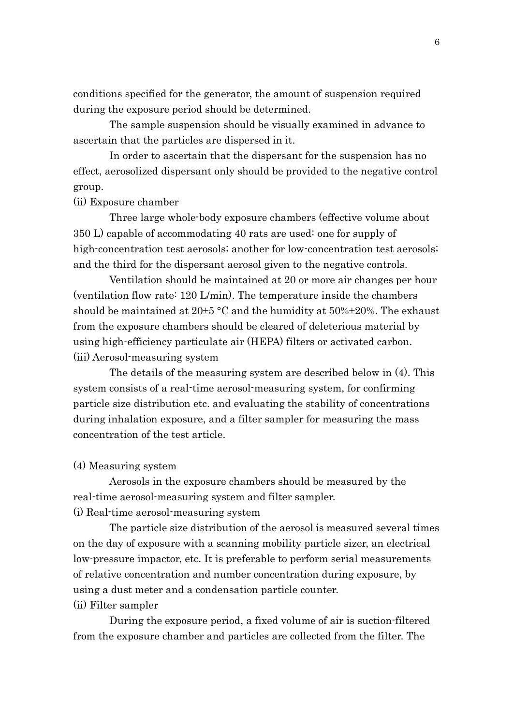conditions specified for the generator, the amount of suspension required during the exposure period should be determined.

The sample suspension should be visually examined in advance to ascertain that the particles are dispersed in it.

In order to ascertain that the dispersant for the suspension has no effect, aerosolized dispersant only should be provided to the negative control group.

#### (ii) Exposure chamber

Three large whole-body exposure chambers (effective volume about 350 L) capable of accommodating 40 rats are used: one for supply of high-concentration test aerosols; another for low-concentration test aerosols; and the third for the dispersant aerosol given to the negative controls.

Ventilation should be maintained at 20 or more air changes per hour (ventilation flow rate: 120 L/min). The temperature inside the chambers should be maintained at  $20\pm5$  °C and the humidity at  $50\% \pm 20\%$ . The exhaust from the exposure chambers should be cleared of deleterious material by using high-efficiency particulate air (HEPA) filters or activated carbon. (iii) Aerosol-measuring system

The details of the measuring system are described below in (4). This system consists of a real-time aerosol-measuring system, for confirming particle size distribution etc. and evaluating the stability of concentrations during inhalation exposure, and a filter sampler for measuring the mass concentration of the test article.

## (4) Measuring system

Aerosols in the exposure chambers should be measured by the real-time aerosol-measuring system and filter sampler.

(i) Real-time aerosol-measuring system

The particle size distribution of the aerosol is measured several times on the day of exposure with a scanning mobility particle sizer, an electrical low-pressure impactor, etc. It is preferable to perform serial measurements of relative concentration and number concentration during exposure, by using a dust meter and a condensation particle counter. (ii) Filter sampler

During the exposure period, a fixed volume of air is suction-filtered from the exposure chamber and particles are collected from the filter. The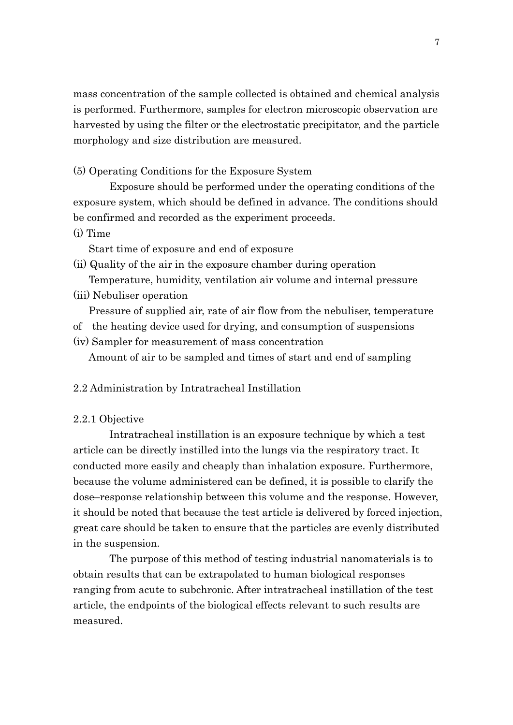mass concentration of the sample collected is obtained and chemical analysis is performed. Furthermore, samples for electron microscopic observation are harvested by using the filter or the electrostatic precipitator, and the particle morphology and size distribution are measured.

(5) Operating Conditions for the Exposure System

Exposure should be performed under the operating conditions of the exposure system, which should be defined in advance. The conditions should be confirmed and recorded as the experiment proceeds.

(i) Time

Start time of exposure and end of exposure

- (ii) Quality of the air in the exposure chamber during operation Temperature, humidity, ventilation air volume and internal pressure
- (iii) Nebuliser operation

Pressure of supplied air, rate of air flow from the nebuliser, temperature

- of the heating device used for drying, and consumption of suspensions
- (iv) Sampler for measurement of mass concentration Amount of air to be sampled and times of start and end of sampling

#### 2.2 Administration by Intratracheal Instillation

#### 2.2.1 Objective

Intratracheal instillation is an exposure technique by which a test article can be directly instilled into the lungs via the respiratory tract. It conducted more easily and cheaply than inhalation exposure. Furthermore, because the volume administered can be defined, it is possible to clarify the dose–response relationship between this volume and the response. However, it should be noted that because the test article is delivered by forced injection, great care should be taken to ensure that the particles are evenly distributed in the suspension.

The purpose of this method of testing industrial nanomaterials is to obtain results that can be extrapolated to human biological responses ranging from acute to subchronic. After intratracheal instillation of the test article, the endpoints of the biological effects relevant to such results are measured.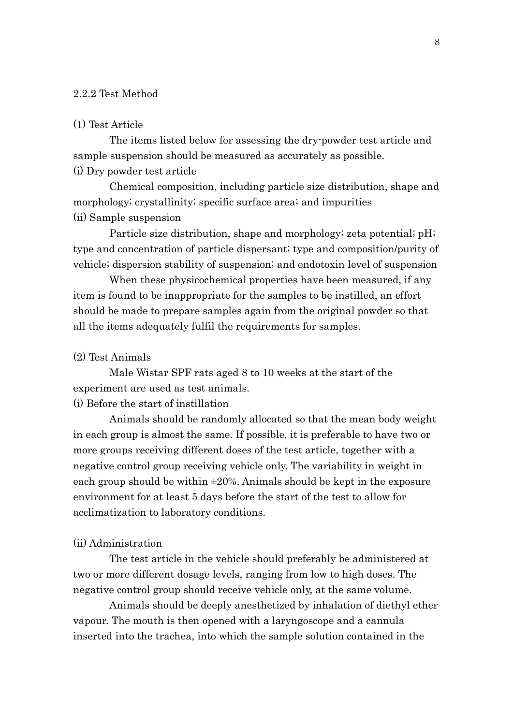#### 2.2.2 Test Method

#### (1) Test Article

The items listed below for assessing the dry-powder test article and sample suspension should be measured as accurately as possible. (i) Dry powder test article

Chemical composition, including particle size distribution, shape and morphology; crystallinity; specific surface area; and impurities (ii) Sample suspension

Particle size distribution, shape and morphology; zeta potential; pH; type and concentration of particle dispersant; type and composition/purity of vehicle; dispersion stability of suspension; and endotoxin level of suspension

When these physicochemical properties have been measured, if any item is found to be inappropriate for the samples to be instilled, an effort should be made to prepare samples again from the original powder so that all the items adequately fulfil the requirements for samples.

#### (2) Test Animals

Male Wistar SPF rats aged 8 to 10 weeks at the start of the experiment are used as test animals.

## (i) Before the start of instillation

Animals should be randomly allocated so that the mean body weight in each group is almost the same. If possible, it is preferable to have two or more groups receiving different doses of the test article, together with a negative control group receiving vehicle only. The variability in weight in each group should be within  $\pm 20\%$ . Animals should be kept in the exposure environment for at least 5 days before the start of the test to allow for acclimatization to laboratory conditions.

## (ii) Administration

The test article in the vehicle should preferably be administered at two or more different dosage levels, ranging from low to high doses. The negative control group should receive vehicle only, at the same volume.

Animals should be deeply anesthetized by inhalation of diethyl ether vapour. The mouth is then opened with a laryngoscope and a cannula inserted into the trachea, into which the sample solution contained in the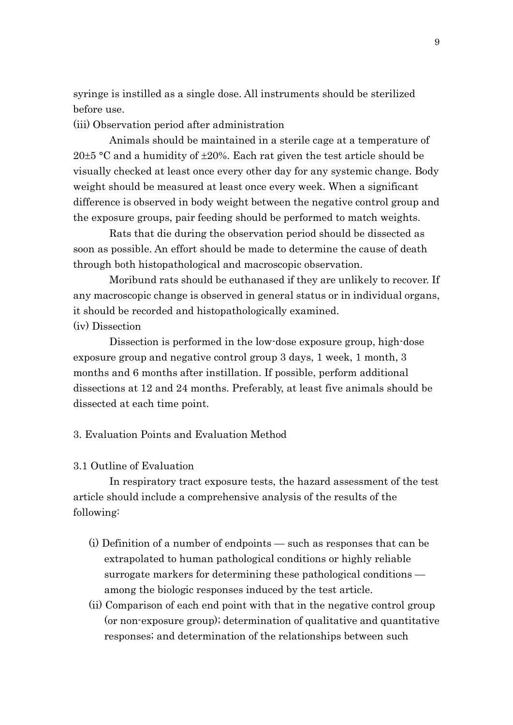syringe is instilled as a single dose. All instruments should be sterilized before use.

(iii) Observation period after administration

Animals should be maintained in a sterile cage at a temperature of 20 $\pm$ 5 °C and a humidity of  $\pm$ 20%. Each rat given the test article should be visually checked at least once every other day for any systemic change. Body weight should be measured at least once every week. When a significant difference is observed in body weight between the negative control group and the exposure groups, pair feeding should be performed to match weights.

Rats that die during the observation period should be dissected as soon as possible. An effort should be made to determine the cause of death through both histopathological and macroscopic observation.

Moribund rats should be euthanased if they are unlikely to recover. If any macroscopic change is observed in general status or in individual organs, it should be recorded and histopathologically examined. (iv) Dissection

Dissection is performed in the low-dose exposure group, high-dose exposure group and negative control group 3 days, 1 week, 1 month, 3 months and 6 months after instillation. If possible, perform additional dissections at 12 and 24 months. Preferably, at least five animals should be dissected at each time point.

# 3. Evaluation Points and Evaluation Method

## 3.1 Outline of Evaluation

In respiratory tract exposure tests, the hazard assessment of the test article should include a comprehensive analysis of the results of the following:

- (i) Definition of a number of endpoints such as responses that can be extrapolated to human pathological conditions or highly reliable surrogate markers for determining these pathological conditions among the biologic responses induced by the test article.
- (ii) Comparison of each end point with that in the negative control group (or non-exposure group); determination of qualitative and quantitative responses; and determination of the relationships between such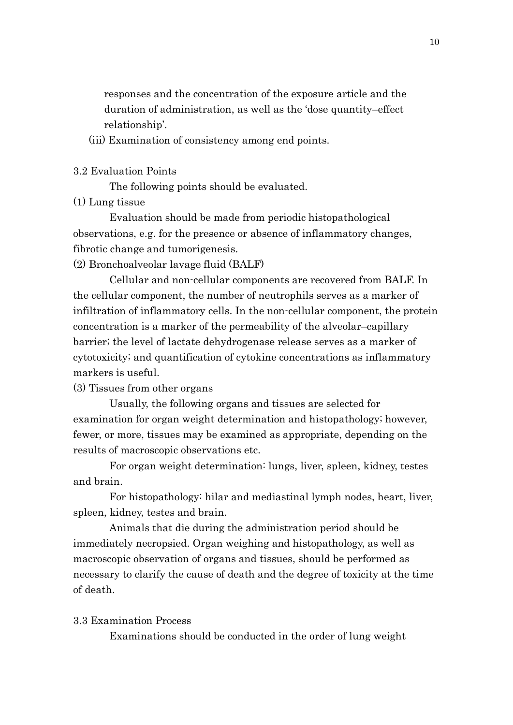responses and the concentration of the exposure article and the duration of administration, as well as the 'dose quantity–effect relationship'.

(iii) Examination of consistency among end points.

#### 3.2 Evaluation Points

The following points should be evaluated.

# (1) Lung tissue

Evaluation should be made from periodic histopathological observations, e.g. for the presence or absence of inflammatory changes, fibrotic change and tumorigenesis.

(2) Bronchoalveolar lavage fluid (BALF)

Cellular and non-cellular components are recovered from BALF. In the cellular component, the number of neutrophils serves as a marker of infiltration of inflammatory cells. In the non-cellular component, the protein concentration is a marker of the permeability of the alveolar–capillary barrier; the level of lactate dehydrogenase release serves as a marker of cytotoxicity; and quantification of cytokine concentrations as inflammatory markers is useful.

#### (3) Tissues from other organs

Usually, the following organs and tissues are selected for examination for organ weight determination and histopathology; however, fewer, or more, tissues may be examined as appropriate, depending on the results of macroscopic observations etc.

For organ weight determination: lungs, liver, spleen, kidney, testes and brain.

For histopathology: hilar and mediastinal lymph nodes, heart, liver, spleen, kidney, testes and brain.

Animals that die during the administration period should be immediately necropsied. Organ weighing and histopathology, as well as macroscopic observation of organs and tissues, should be performed as necessary to clarify the cause of death and the degree of toxicity at the time of death.

#### 3.3 Examination Process

Examinations should be conducted in the order of lung weight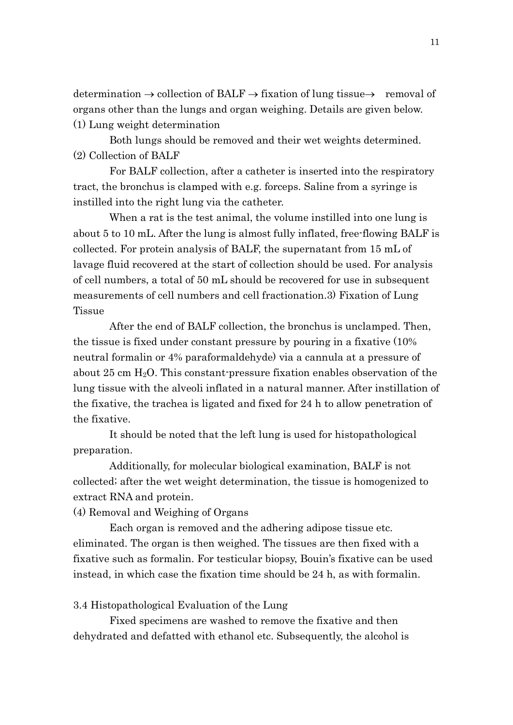determination  $\rightarrow$  collection of BALF  $\rightarrow$  fixation of lung tissue $\rightarrow$  removal of organs other than the lungs and organ weighing. Details are given below. (1) Lung weight determination

Both lungs should be removed and their wet weights determined. (2) Collection of BALF

For BALF collection, after a catheter is inserted into the respiratory tract, the bronchus is clamped with e.g. forceps. Saline from a syringe is instilled into the right lung via the catheter.

When a rat is the test animal, the volume instilled into one lung is about 5 to 10 mL. After the lung is almost fully inflated, free-flowing BALF is collected. For protein analysis of BALF, the supernatant from 15 mL of lavage fluid recovered at the start of collection should be used. For analysis of cell numbers, a total of 50 mL should be recovered for use in subsequent measurements of cell numbers and cell fractionation.3) Fixation of Lung **Tissue** 

After the end of BALF collection, the bronchus is unclamped. Then, the tissue is fixed under constant pressure by pouring in a fixative (10% neutral formalin or 4% paraformaldehyde) via a cannula at a pressure of about 25 cm  $H_2O$ . This constant-pressure fixation enables observation of the lung tissue with the alveoli inflated in a natural manner. After instillation of the fixative, the trachea is ligated and fixed for 24 h to allow penetration of the fixative.

It should be noted that the left lung is used for histopathological preparation.

Additionally, for molecular biological examination, BALF is not collected; after the wet weight determination, the tissue is homogenized to extract RNA and protein.

(4) Removal and Weighing of Organs

Each organ is removed and the adhering adipose tissue etc. eliminated. The organ is then weighed. The tissues are then fixed with a fixative such as formalin. For testicular biopsy, Bouin's fixative can be used instead, in which case the fixation time should be 24 h, as with formalin.

3.4 Histopathological Evaluation of the Lung

Fixed specimens are washed to remove the fixative and then dehydrated and defatted with ethanol etc. Subsequently, the alcohol is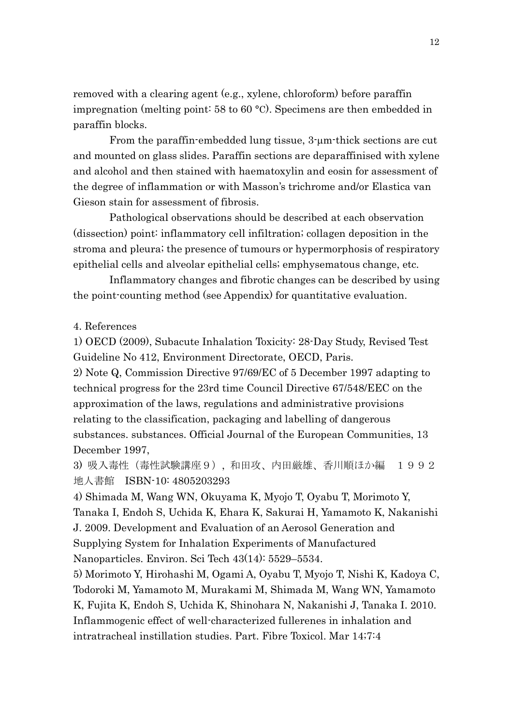removed with a clearing agent (e.g., xylene, chloroform) before paraffin impregnation (melting point: 58 to 60 °C). Specimens are then embedded in paraffin blocks.

From the paraffin-embedded lung tissue, 3-µm-thick sections are cut and mounted on glass slides. Paraffin sections are deparaffinised with xylene and alcohol and then stained with haematoxylin and eosin for assessment of the degree of inflammation or with Masson's trichrome and/or Elastica van Gieson stain for assessment of fibrosis.

Pathological observations should be described at each observation (dissection) point: inflammatory cell infiltration; collagen deposition in the stroma and pleura; the presence of tumours or hypermorphosis of respiratory epithelial cells and alveolar epithelial cells; emphysematous change, etc.

Inflammatory changes and fibrotic changes can be described by using the point-counting method (see Appendix) for quantitative evaluation.

#### 4. References

1) OECD (2009), Subacute Inhalation Toxicity: 28-Day Study, Revised Test Guideline No 412, Environment Directorate, OECD, Paris.

2) Note Q, Commission Directive 97/69/EC of 5 December 1997 adapting to technical progress for the 23rd time Council Directive 67/548/EEC on the approximation of the laws, regulations and administrative provisions relating to the classification, packaging and labelling of dangerous substances. substances. Official Journal of the European Communities, 13 December 1997,

3) 吸入毒性(毒性試験講座9), 和田攻、内田厳雄、香川順ほか編 1992 地人書館 ISBN-10: 4805203293

4) Shimada M, Wang WN, Okuyama K, Myojo T, Oyabu T, Morimoto Y, Tanaka I, Endoh S, Uchida K, Ehara K, Sakurai H, Yamamoto K, Nakanishi J. 2009. Development and Evaluation of an Aerosol Generation and Supplying System for Inhalation Experiments of Manufactured Nanoparticles. Environ. Sci Tech 43(14): 5529–5534.

5) Morimoto Y, Hirohashi M, Ogami A, Oyabu T, Myojo T, Nishi K, Kadoya C, Todoroki M, Yamamoto M, Murakami M, Shimada M, Wang WN, Yamamoto K, Fujita K, Endoh S, Uchida K, Shinohara N, Nakanishi J, Tanaka I. 2010. Inflammogenic effect of well-characterized fullerenes in inhalation and intratracheal instillation studies. Part. Fibre Toxicol. Mar 14;7:4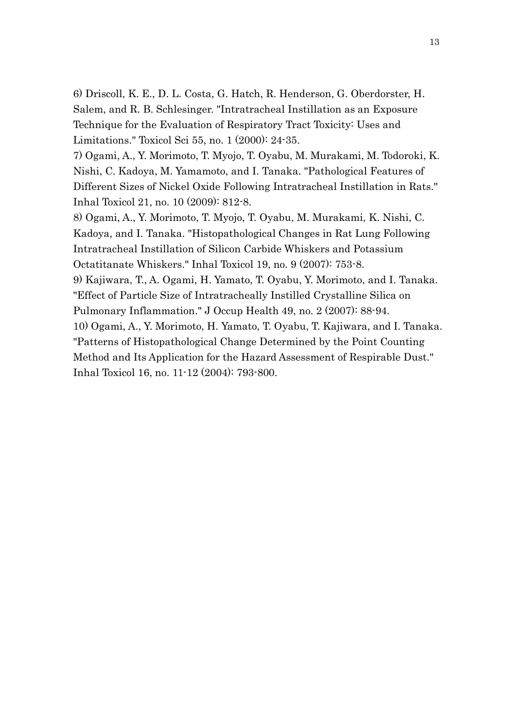6) Driscoll, K. E., D. L. Costa, G. Hatch, R. Henderson, G. Oberdorster, H. Salem, and R. B. Schlesinger. "Intratracheal Instillation as an Exposure Technique for the Evaluation of Respiratory Tract Toxicity: Uses and Limitations." Toxicol Sci 55, no. 1 (2000): 24-35.

7) Ogami, A., Y. Morimoto, T. Myojo, T. Oyabu, M. Murakami, M. Todoroki, K. Nishi, C. Kadoya, M. Yamamoto, and I. Tanaka. "Pathological Features of Different Sizes of Nickel Oxide Following Intratracheal Instillation in Rats." Inhal Toxicol 21, no. 10 (2009): 812-8.

8) Ogami, A., Y. Morimoto, T. Myojo, T. Oyabu, M. Murakami, K. Nishi, C. Kadoya, and I. Tanaka. "Histopathological Changes in Rat Lung Following Intratracheal Instillation of Silicon Carbide Whiskers and Potassium Octatitanate Whiskers." Inhal Toxicol 19, no. 9 (2007): 753-8.

9) Kajiwara, T., A. Ogami, H. Yamato, T. Oyabu, Y. Morimoto, and I. Tanaka. "Effect of Particle Size of Intratracheally Instilled Crystalline Silica on Pulmonary Inflammation." J Occup Health 49, no. 2 (2007): 88-94.

10) Ogami, A., Y. Morimoto, H. Yamato, T. Oyabu, T. Kajiwara, and I. Tanaka. "Patterns of Histopathological Change Determined by the Point Counting Method and Its Application for the Hazard Assessment of Respirable Dust." Inhal Toxicol 16, no. 11-12 (2004): 793-800.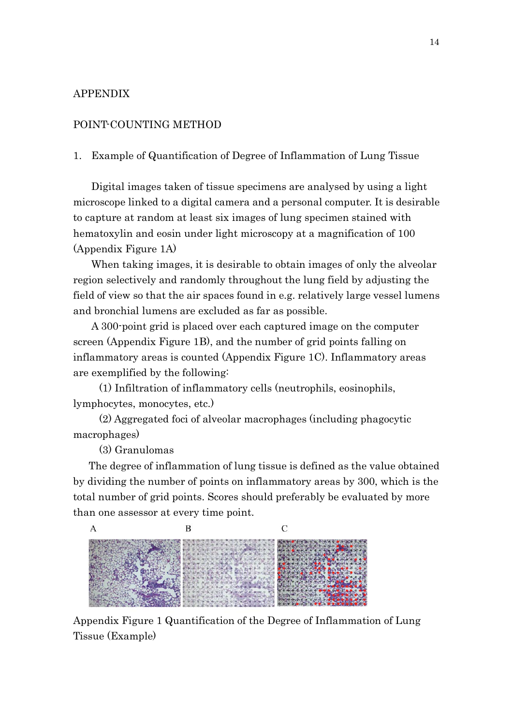# APPENDIX

## POINT-COUNTING METHOD

1. Example of Quantification of Degree of Inflammation of Lung Tissue

Digital images taken of tissue specimens are analysed by using a light microscope linked to a digital camera and a personal computer. It is desirable to capture at random at least six images of lung specimen stained with hematoxylin and eosin under light microscopy at a magnification of 100 (Appendix Figure 1A)

When taking images, it is desirable to obtain images of only the alveolar region selectively and randomly throughout the lung field by adjusting the field of view so that the air spaces found in e.g. relatively large vessel lumens and bronchial lumens are excluded as far as possible.

A 300-point grid is placed over each captured image on the computer screen (Appendix Figure 1B), and the number of grid points falling on inflammatory areas is counted (Appendix Figure 1C). Inflammatory areas are exemplified by the following:

(1) Infiltration of inflammatory cells (neutrophils, eosinophils, lymphocytes, monocytes, etc.)

(2) Aggregated foci of alveolar macrophages (including phagocytic macrophages)

(3) Granulomas

The degree of inflammation of lung tissue is defined as the value obtained by dividing the number of points on inflammatory areas by 300, which is the total number of grid points. Scores should preferably be evaluated by more than one assessor at every time point.



Appendix Figure 1 Quantification of the Degree of Inflammation of Lung Tissue (Example)